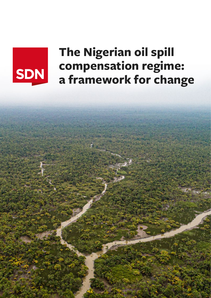# SDN

## **The Nigerian oil spill compensation regime: a framework for change**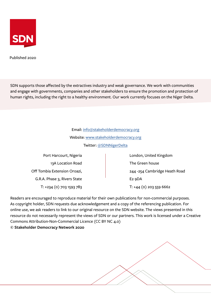

Published 2020

SDN supports those affected by the extractives industry and weak governance. We work with communities and engage with governments, companies and other stakeholders to ensure the promotion and protection of human rights, including the right to a healthy environment. Our work currently focuses on the Niger Delta.

> Email: [info@stakeholderdemocracy.org](mailto:info%40stakeholderdemocracy.org?subject=A%20Leaky%20system%20brief) Website: [www.stakeholderdemocracy.org](http://www.stakeholderdemocracy.org/) Twitter: [@SDNNigerDelta](https://twitter.com/SDNNigerDelta)

Port Harcourt, Nigeria 13A Location Road Off Tombia Extension Oroazi, G.R.A. Phase 3, Rivers State T: +234 (0) 703 1593 783 London, United Kingdom The Green house 244 -254 Cambridge Heath Road E2 9DA T: +44 (0) 203 559 6662

Readers are encouraged to reproduce material for their own publications for non-commercial purposes. As copyright holder, SDN requests due acknowledgement and a copy of the referencing publication. For online use, we ask readers to link to our original resource on the SDN website. The views presented in this resource do not necessarily represent the views of SDN or our partners. This work is licensed under a Creative Commons Attribution-Non-Commercial Licence (CC BY NC 4.0) **© Stakeholder Democracy Network 2020**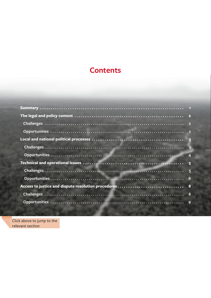## **Contents**

| $6\phantom{1}6$ |
|-----------------|
|                 |
| 8               |
|                 |
|                 |

Click above to jump to the relevant section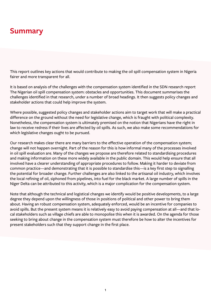## <span id="page-3-0"></span>**Summary**

This report outlines key actions that would contribute to making the oil spill compensation system in Nigeria fairer and more transparent for all.

It is based on analysis of the challenges with the compensation system identified in the SDN research report The Nigerian oil spill compensation system: obstacles and opportunities. This document summarises the challenges identified in that research, under a number of broad headings. It then suggests policy changes and stakeholder actions that could help improve the system.

Where possible, suggested policy changes and stakeholder actions aim to target work that will make a practical difference on the ground without the need for legislative change, which is fraught with political complexity. Nonetheless, the compensation system is ultimately premised on the notion that Nigerians have the right in law to receive redress if their lives are affected by oil spills. As such, we also make some recommendations for which legislative changes ought to be pursued.

Our research makes clear there are many barriers to the effective operation of the compensation system; change will not happen overnight. Part of the reason for this is how informal many of the processes involved in oil spill evaluation are. Many of the changes we propose are therefore related to standardising procedures and making information on these more widely available in the public domain. This would help ensure that all involved have a clearer understanding of appropriate procedures to follow. Making it harder to deviate from common practice—and demonstrating that it is possible to standardise this—is a key first step to signalling the potential for broader change. Further challenges are also linked to the artisanal oil industry, which involves the local refining of oil, siphoned from pipelines, into fuel for the black market. A large number of spills in the Niger Delta can be attributed to this activity, which is a major complication for the compensation system.

Note that although the technical and logistical changes we identify would be positive developments, to a large degree they depend upon the willingness of those in positions of political and other power to bring them about. Having an robust compensation system, adequately enforced, would be an incentive for companies to avoid spills. But the present system means it is relatively easy to avoid paying compensation at all—and that local stakeholders such as village chiefs are able to monopolise this when it is awarded. On the agenda for those seeking to bring about change in the compensation system must therefore be how to alter the incentives for present stakeholders such that they support change in the first place.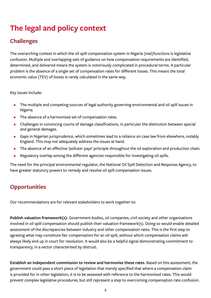## <span id="page-4-0"></span>**The legal and policy context**

## **Challenges**

The overarching context in which the oil spill compensation system in Nigeria (mal)functions is legislative confusion. Multiple and overlapping sets of guidance on how compensation requirements are identified, determined, and delivered means the system is notoriously complicated in procedural terms. A particular problem is the absence of a single set of compensation rates for different losses. This means the total economic value (TEV) of losses is rarely calculated in the same way.

Key issues include:

- The multiple and competing sources of legal authority governing environmental and oil spill issues in Nigeria.
- The absence of a harmonised set of compensation rates.
- Challenges in convincing courts of damage classifications, in particular the distinction between special and general damages.
- Gaps in Nigerian jurisprudence, which sometimes lead to a reliance on case law from elsewhere, notably England. This may not adequately address the issues at hand.
- The absence of an effective 'polluter pays' principle throughout the oil exploration and production chain.
- Regulatory overlap among the different agencies responsible for investigating oil spills.

The need for the principal environmental regulator, the National Oil Spill Detection and Response Agency, to have greater statutory powers to remedy and resolve oil spill compensation issues.

#### **Opportunities**

Our recommendations are for relevant stakeholders to work together to:

**Publish valuation framework(s).** Government bodies, oil companies, civil society and other organisations involved in oil spill compensation should publish their valuation framework(s). Doing so would enable detailed assessment of the discrepancies between industry and other compensation rates. This is the first step to agreeing what may constitute fair compensation for an oil spill, without which compensation claims will always likely end up in court for resolution. It would also be a helpful signal demonstrating commitment to transparency, in a sector characterised by distrust.

**Establish an independent commission to review and harmonise these rates**. Based on this assessment, the government could pass a short piece of legislation that merely specified that where a compensation claim is provided for in other legislation, it is to be assessed with reference to the harmonised rates. This would prevent complex legislative procedures, but still represent a step to overcoming compensation rate confusion.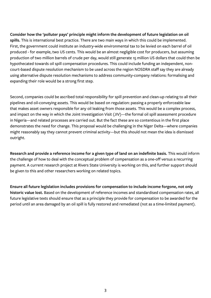<span id="page-5-0"></span>**Consider how the 'polluter pays' principle might inform the development of future legislation on oil spills.** This is international best practice. There are two main ways in which this could be implemented. First, the government could institute an industry-wide environmental tax to be levied on each barrel of oil produced - for example, two US cents. This would be an almost negligible cost for producers, but assuming production of two million barrels of crude per day, would still generate 15 million US dollars that could then be hypothecated towards oil spill compensation procedures. This could include funding an independent, noncourt-based dispute resolution mechanism to be used across the region NOSDRA staff say they are already using alternative dispute resolution mechanisms to address community-company relations: formalising and expanding their role would be a strong first step.

Second, companies could be ascribed total responsibility for spill prevention and clean-up relating to all their pipelines and oil-conveying assets. This would be based on regulation: passing a properly enforceable law that makes asset owners responsible for any oil leaking from those assets. This would be a complex process, and impact on the way in which the Joint Investigation Visit (JIV)—the formal oil spill assessment procedure in Nigeria—and related processes are carried out. But the fact these are so contentious in the first place demonstrates the need for change. This proposal would be challenging in the Niger Delta—where companies might reasonably say they cannot prevent criminal activity—but this should not mean the idea is dismissed outright.

**Research and provide a reference income for a given type of land on an indefinite basis.** This would inform the challenge of how to deal with the conceptual problem of compensation as a one-off versus a recurring payment. A current research project at Rivers State University is working on this, and further support should be given to this and other researchers working on related topics.

**Ensure all future legislation includes provisions for compensation to include income forgone, not only historic value lost.** Based on the development of reference incomes and standardised compensation rates, all future legislative texts should ensure that as a principle they provide for compensation to be awarded for the period until an area damaged by an oil spill is fully restored and remediated (not as a time-limited payment).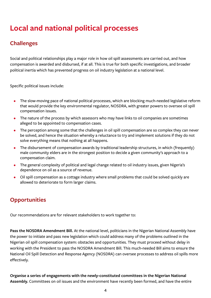## <span id="page-6-0"></span>**Local and national political processes**

## **Challenges**

Social and political relationships play a major role in how oil spill assessments are carried out, and how compensation is awarded and disbursed, if at all. This is true for both specific investigations, and broader political inertia which has prevented progress on oil industry legislation at a national level.

Specific political issues include:

- The slow-moving pace of national political processes, which are blocking much-needed legislative reform that would provide the key environmental regulator, NOSDRA, with greater powers to oversee oil spill compensation issues.
- The nature of the process by which assessors who may have links to oil companies are sometimes alleged to be appointed to compensation cases.
- The perception among some that the challenges in oil spill compensation are so complex they can never be solved, and hence the situation whereby a reluctance to try and implement solutions if they do not solve everything means that nothing at all happens.
- The disbursement of compensation awards by traditional leadership structures, in which (frequently) male community elders are in the strongest position to decide a given community's approach to a compensation claim.
- The general complexity of political and legal change related to oil industry issues, given Nigeria's dependence on oil as a source of revenue.
- Oil spill compensation as a cottage industry where small problems that could be solved quickly are allowed to deteriorate to form larger claims.

## **Opportunities**

Our recommendations are for relevant stakeholders to work together to:

**Pass the NOSDRA Amendment Bill.** At the national level, politicians in the Nigerian National Assembly have the power to initiate and pass new legislation which could address many of the problems outlined in the Nigerian oil spill compensation system: obstacles and opportunities. They must proceed without delay in working with the President to pass the NOSDRA Amendment Bill. This much-needed Bill aims to ensure the National Oil Spill Detection and Response Agency (NOSDRA) can oversee processes to address oil spills more effectively.

**Organise a series of engagements with the newly-constituted committees in the Nigerian National Assembly.** Committees on oil issues and the environment have recently been formed, and have the entire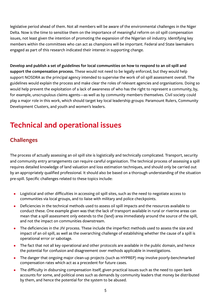<span id="page-7-0"></span>legislative period ahead of them. Not all members will be aware of the environmental challenges in the Niger Delta. Now is the time to sensitise them on the importance of meaningful reform on oil spill compensation issues, not least given the intention of promoting the expansion of the Nigerian oil industry. Identifying key members within the committees who can act as champions will be important. Federal and State lawmakers engaged as part of this research indicated their interest in supporting change.

**Develop and publish a set of guidelines for local communities on how to respond to an oil spill and support the compensation process.** These would not need to be legally enforced, but they would help support NOSDRA as the principal agency intended to supervise the work of oil spill assessment overall. The guidelines would explain the process and make clear the roles of relevant agencies and organisations. Doing so would help prevent the exploitation of a lack of awareness of who has the right to represent a community, by, for example, unscrupulous claims agents—as well as by community members themselves. Civil society could play a major role in this work, which should target key local leadership groups: Paramount Rulers, Community Development Clusters, and youth and women's leaders.

## **Technical and operational issues**

## **Challenges**

The process of actually assessing an oil spill site is logistically and technically complicated. Transport, security and community entry arrangements can require careful organisation. The technical process of assessing a spill requires detailed knowledge of land valuation and loss estimation techniques, and should only be carried out by an appropriately qualified professional. It should also be based on a thorough understanding of the situation pre-spill. Specific challenges related to these topics include:

- Logistical and other difficulties in accessing oil spill sites, such as the need to negotiate access to communities via local groups, and to liaise with military and police checkpoints.
- Deficiencies in the technical methods used to assess oil spill impacts and the resources available to conduct these. One example given was that the lack of transport available in rural or riverine areas can mean that a spill assessment only extends to the (land) area immediately around the source of the spill, and not the impact on communities downstream.
- The deficiencies in the JIV process. These include the imperfect methods used to assess the size and impact of an oil spill, as well as the overarching challenge of establishing whether the cause of a spill is operational error or sabotage.
- The fact that not all key operational and other protocols are available in the public domain, and hence the potential for confusion and disagreement over methods applicable in investigations.
- The danger that ongoing major clean-up projects (such as HYPREP) may involve poorly-benchmarked compensation rates which act as a precedent for future cases.
- The difficulty in disbursing compensation itself, given practical issues such as the need to open bank accounts for some, and political ones such as demands by community leaders that money be distributed by them, and hence the potential for the system to be abused.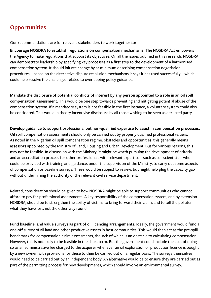#### <span id="page-8-0"></span>**Opportunities**

Our recommendations are for relevant stakeholders to work together to:

**Encourage NOSDRA to establish regulations on compensation mechanisms.** The NOSDRA Act empowers the Agency to make regulations that support its objectives. On all the issues outlined in this research, NOSDRA can demonstrate leadership by specifying key processes as a first step to the development of a harmonised compensation system. It should initiate change by at minimum describing compensation negotiation procedures—based on the alternative dispute resolution mechanisms it says it has used successfully—which could help resolve the challenges related to overlapping policy guidance.

**Mandate the disclosure of potential conflicts of interest by any person appointed to a role in an oil spill compensation assessment.** This would be one step towards preventing and mitigating potential abuse of the compensation system. If a mandatory system is not feasible in the first instance, a voluntary system could also be considered. This would in theory incentivise disclosure by all those wishing to be seen as a trusted party.

**Develop guidance to support professional but non-qualified expertise to assist in compensation processes.** Oil spill compensation assessments should only be carried out by properly qualified professional valuers. As noted in the Nigerian oil spill compensation regime: obstacles and opportunities, this generally means assessors appointed by the Ministry of Land, Housing and Urban Development. But for various reasons, this may not be feasible. In discussion with the Ministry, it might be worth pursuing the development of criteria and an accreditation process for other professionals with relevant expertise—such as soil scientists—who could be provided with training and guidance, under the supervision of the Ministry, to carry out some aspects of compensation or baseline surveys. These would be subject to review, but might help plug the capacity gap without undermining the authority of the relevant civil service department.

Related, consideration should be given to how NOSDRA might be able to support communities who cannot afford to pay for professional assessments. A key responsibility of the compensation system, and by extension NOSDRA, should be to strengthen the ability of victims to bring forward their claim, and to tell the polluter what they have lost, not the other way round.

**Fund baseline land value surveys as part of oil licencing arrangements.** Ideally, the government would fund a one-off survey of all land and other productive assets in host communities. This would then act as the pre-spill benchmark for compensation claim assessments, the lack of which is an obstacle to calculating compensation. However, this is not likely to be feasible in the short term. But the government could include the cost of doing so as an administrative fee charged to the acquirer whenever an oil exploration or production licence is bought by a new owner, with provisions for these to then be carried out on a regular basis. The surveys themselves would need to be carried out by an independent body. An alternative would be to ensure they are carried out as part of the permitting process for new developments, which should involve an environmental survey.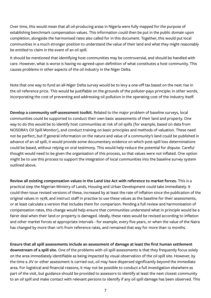Over time, this would mean that all oil-producing areas in Nigeria were fully mapped for the purpose of establishing benchmark compensation values. This information could then be put in the public domain upon completion, alongside the harmonised rates also called for in this document. Together, this would put local communities in a much stronger position to understand the value of their land and what they might reasonably be entitled to claim in the event of an oil spill.

It should be mentioned that identifying host communities may be controversial, and should be handled with care. However, what is worse is having no agreed-upon definition of what constitutes a host community. This causes problems in other aspects of the oil industry in the Niger Delta.

Note that one way to fund an all-Niger Delta survey would be to levy a one-off tax based on the next rise in the oil reference price. This would be justifiable on the grounds of the polluter-pays principle: in other words, incorporating the cost of preventing and addressing oil pollution in the operating cost of the industry itself.

**Develop a community self-assessment toolkit.** Related to the major problem of baseline surveys, local communities could be supported to conduct their own basic assessments of their land and property. One way to do this would be to identify host communities at risk of oil spills (for example, based on data from NOSDRA's Oil Spill Monitor), and conduct training on basic principles and methods of valuation. These need not be perfect, but if general information on the nature and value of a community's land could be published in advance of an oil spill, it would provide some documentary evidence on which post-spill loss determinations could be based, without relying on oral testimony. This would help reduce the potential for dispute. Careful thought would need to be given the organisation of this process, so that values were not inflated. One option might be to use this process to support the integration of local communities into the baseline survey system outlined above.

**Review all existing compensation values in the Land Use Act with reference to market forces.** This is a practical step the Nigerian Ministry of Lands, Housing and Urban Development could take immediately. It could then issue revised versions of these, increased by at least the rate of inflation since the publication of the original values in 1978, and instruct staff in practise to use these values as the baseline for their assessments, or at least calculate a version that includes them for comparison. Pending a full review and harmonisation of compensation rates, this change would help ensure that communities understand what in principle would be a fairer deal when their land or property is damaged. Ideally, these rates would be revised according to inflation and other market forces at appropriate intervals - for example, every five years, or when the value of the Naira has changed by more than 10% from reference rates, and remained that way for more than 12 months.

**Ensure that all spill assessments include an assessment of damage at least the first human settlement downstream of a spill site.** One of the problems with oil spill assessments is that they frequently focus solely on the area immediately identifiable as being impacted by visual observation of the oil spill site. However, by the time a JIV or other assessment is carried out, oil may have dispersed significantly beyond the immediate area. For logistical and financial reasons, it may not be possible to conduct a full investigation elsewhere as part of the visit, but guidance should be provided to assessors to identify at least the next closest community to an oil spill and make contact with relevant persons to identify if any oil spill damage has been observed. This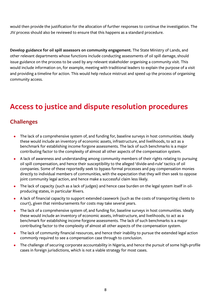<span id="page-10-0"></span>would then provide the justification for the allocation of further responses to continue the investigation. The JIV process should also be reviewed to ensure that this happens as a standard procedure.

**Develop guidance for oil spill assessors on community engagement.** The State Ministry of Lands, and other relevant departments whose functions include conducting assessments of oil spill damage, should issue guidance on the process to be used by any relevant stakeholder organising a community visit. This would include information on, for example, meeting with traditional leaders to explain the purpose of a visit and providing a timeline for action. This would help reduce mistrust and speed up the process of organising community access.

## **Access to justice and dispute resolution procedures**

#### **Challenges**

- The lack of a comprehensive system of, and funding for, baseline surveys in host communities. Ideally these would include an inventory of economic assets, infrastructure, and livelihoods, to act as a benchmark for establishing income forgone assessments. The lack of such benchmarks is a major contributing factor to the complexity of almost all other aspects of the compensation system.
- A lack of awareness and understanding among community members of their rights relating to pursuing oil spill compensation, and hence their susceptibility to the alleged 'divide-and-rule' tactics of oil companies. Some of these reportedly seek to bypass formal processes and pay compensation monies directly to individual members of communities, with the expectation that they will then seek to oppose joint community legal action, and hence make a successful claim less likely.
- The lack of capacity (such as a lack of judges) and hence case burden on the legal system itself in oilproducing states, in particular Rivers.
- A lack of financial capacity to support extended casework (such as the costs of transporting clients to court), given that reimbursements for costs may take several years.
- The lack of a comprehensive system of, and funding for, baseline surveys in host communities. Ideally these would include an inventory of economic assets, infrastructure, and livelihoods, to act as a benchmark for establishing income forgone assessments. The lack of such benchmarks is a major contributing factor to the complexity of almost all other aspects of the compensation system.
- The lack of community financial resources, and hence their inability to pursue the extended legal action commonly required to see a compensation case through to conclusion.
- The challenge of securing corporate accountability in Nigeria, and hence the pursuit of some high-profile cases in foreign jurisdictions, which is not a viable strategy for most cases.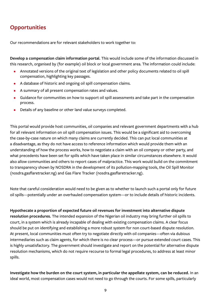## <span id="page-11-0"></span>**Opportunities**

Our recommendations are for relevant stakeholders to work together to:

**Develop a compensation claim information portal.** This would include some of the information discussed in this research, organised by (for example) oil block or local government area. The information could include:

- Annotated versions of the original text of legislation and other policy documents related to oil spill compensation, highlighting key passages.
- A database of historic and ongoing oil spill compensation claims.
- A summary of all present compensation rates and values.
- Guidance for communities on how to support oil spill assessments and take part in the compensation process.
- Details of any baseline or other land value surveys completed.

This portal would provide host communities, oil companies and relevant government departments with a hub for all relevant information on oil spill compensation issues. This would be a significant aid to overcoming the case-by-case nature on which many claims are currently decided. This can put local communities at a disadvantage, as they do not have access to reference information which would provide them with an understanding of how the process works, how to negotiate a claim with an oil company or other party, and what precedents have been set for spills which have taken place in similar circumstances elsewhere. It would also allow communities and others to report cases of malpractice. This work would build on the commitment to transparency shown by NOSDRA in the development of its pollution-mapping tools, the Oil Spill Monitor (nosdra.gasflaretracker.ng) and Gas Flare Tracker (nosdra.gasflaretracker.ng).

Note that careful consideration would need to be given as to whether to launch such a portal only for future oil spills—potentially under an overhauled compensation system—or to include details of historic incidents.

**Hypothecate a proportion of expected future oil revenues for investment into alternative dispute resolution procedures.** The intended expansion of the Nigerian oil industry may bring further oil spills to court, in a system which is already incapable of dealing with existing compensation claims. A clear focus should be put on identifying and establishing a more robust system for non court-based dispute resolution. At present, local communities must often try to negotiate directly with oil companies—often via dubious intermediaries such as claim agents, for which there is no clear process—or pursue extended court cases. This is highly unsatisfactory. The government should investigate and report on the potential for alternative dispute resolution mechanisms, which do not require recourse to formal legal procedures, to address at least minor spills.

**Investigate how the burden on the court system, in particular the appellate system, can be reduced.** In an ideal world, most compensation cases would not need to go through the courts. For some spills, particularly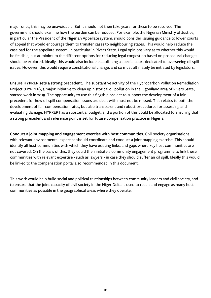major ones, this may be unavoidable. But it should not then take years for these to be resolved. The government should examine how the burden can be reduced. For example, the Nigerian Ministry of Justice, in particular the President of the Nigerian Appellate system, should consider issuing guidance to lower courts of appeal that would encourage them to transfer cases to neighbouring states. This would help reduce the caseload for the appellate system, in particular in Rivers State. Legal opinions vary as to whether this would be feasible, but at minimum the different options for reducing legal congestion based on procedural changes should be explored. Ideally, this would also include establishing a special court dedicated to overseeing oil spill issues. However, this would require constitutional change, and so must ultimately be initiated by legislators.

**Ensure HYPREP sets a strong precedent.** The substantive activity of the Hydrocarbon Pollution Remediation Project (HYPREP), a major initiative to clean up historical oil pollution in the Ogoniland area of Rivers State, started work in 2019. The opportunity to use this flagship project to support the development of a fair precedent for how oil spill compensation issues are dealt with must not be missed. This relates to both the development of fair compensation rates, but also transparent and robust procedures for assessing and evaluating damage. HYPREP has a substantial budget, and a portion of this could be allocated to ensuring that a strong precedent and reference point is set for future compensation practice in Nigeria.

**Conduct a joint mapping and engagement exercise with host communities**. Civil society organisations with relevant environmental expertise should coordinate and conduct a joint mapping exercise. This should identify all host communities with which they have existing links, and gaps where key host communities are not covered. On the basis of this, they could then initiate a community engagement programme to link these communities with relevant expertise - such as lawyers - in case they should suffer an oil spill. Ideally this would be linked to the compensation portal also recommended in this document.

This work would help build social and political relationships between community leaders and civil society, and to ensure that the joint capacity of civil society in the Niger Delta is used to reach and engage as many host communities as possible in the geographical areas where they operate.